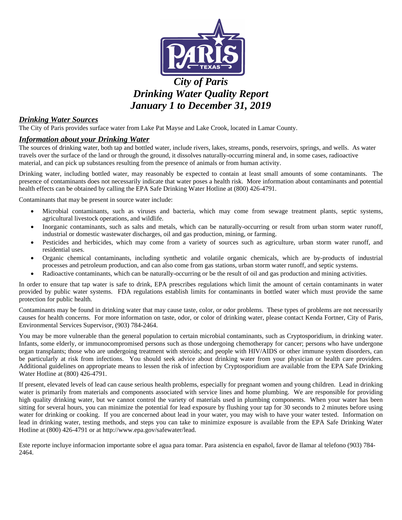

# *City of Paris Drinking Water Quality Report January 1 to December 31, 2019*

## *Drinking Water Sources*

The City of Paris provides surface water from Lake Pat Mayse and Lake Crook, located in Lamar County.

#### *Information about your Drinking Water*

The sources of drinking water, both tap and bottled water, include rivers, lakes, streams, ponds, reservoirs, springs, and wells. As water travels over the surface of the land or through the ground, it dissolves naturally-occurring mineral and, in some cases, radioactive material, and can pick up substances resulting from the presence of animals or from human activity.

Drinking water, including bottled water, may reasonably be expected to contain at least small amounts of some contaminants. The presence of contaminants does not necessarily indicate that water poses a health risk. More information about contaminants and potential health effects can be obtained by calling the EPA Safe Drinking Water Hotline at (800) 426-4791.

Contaminants that may be present in source water include:

- Microbial contaminants, such as viruses and bacteria, which may come from sewage treatment plants, septic systems, agricultural livestock operations, and wildlife.
- Inorganic contaminants, such as salts and metals, which can be naturally-occurring or result from urban storm water runoff, industrial or domestic wastewater discharges, oil and gas production, mining, or farming.
- Pesticides and herbicides, which may come from a variety of sources such as agriculture, urban storm water runoff, and residential uses.
- Organic chemical contaminants, including synthetic and volatile organic chemicals, which are by-products of industrial processes and petroleum production, and can also come from gas stations, urban storm water runoff, and septic systems.
- Radioactive contaminants, which can be naturally-occurring or be the result of oil and gas production and mining activities.

In order to ensure that tap water is safe to drink, EPA prescribes regulations which limit the amount of certain contaminants in water provided by public water systems. FDA regulations establish limits for contaminants in bottled water which must provide the same protection for public health.

Contaminants may be found in drinking water that may cause taste, color, or odor problems. These types of problems are not necessarily causes for health concerns. For more information on taste, odor, or color of drinking water, please contact Kenda Fortner, City of Paris, Environmental Services Supervisor, (903) 784-2464.

You may be more vulnerable than the general population to certain microbial contaminants, such as Cryptosporidium, in drinking water. Infants, some elderly, or immunocompromised persons such as those undergoing chemotherapy for cancer; persons who have undergone organ transplants; those who are undergoing treatment with steroids; and people with HIV/AIDS or other immune system disorders, can be particularly at risk from infections. You should seek advice about drinking water from your physician or health care providers. Additional guidelines on appropriate means to lessen the risk of infection by Cryptosporidium are available from the EPA Safe Drinking Water Hotline at (800) 426-4791.

If present, elevated levels of lead can cause serious health problems, especially for pregnant women and young children. Lead in drinking water is primarily from materials and components associated with service lines and home plumbing. We are responsible for providing high quality drinking water, but we cannot control the variety of materials used in plumbing components. When your water has been sitting for several hours, you can minimize the potential for lead exposure by flushing your tap for 30 seconds to 2 minutes before using water for drinking or cooking. If you are concerned about lead in your water, you may wish to have your water tested. Information on lead in drinking water, testing methods, and steps you can take to minimize exposure is available from the EPA Safe Drinking Water Hotline at (800) 426-4791 or at http://www.epa.gov/safewater/lead.

Este reporte incluye informacion importante sobre el agua para tomar. Para asistencia en español, favor de llamar al telefono (903) 784- 2464.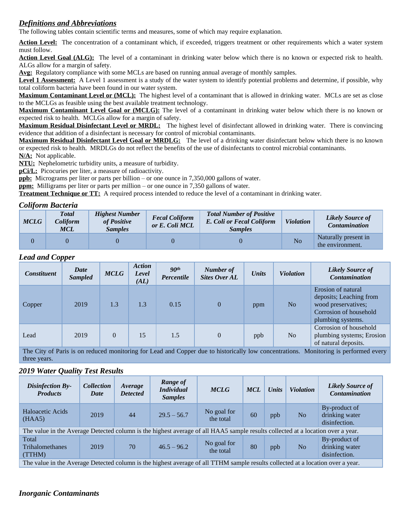# *Definitions and Abbreviations*

The following tables contain scientific terms and measures, some of which may require explanation.

Action Level: The concentration of a contaminant which, if exceeded, triggers treatment or other requirements which a water system must follow.

**Action Level Goal (ALG):** The level of a contaminant in drinking water below which there is no known or expected risk to health. ALGs allow for a margin of safety.

**Avg:** Regulatory compliance with some MCLs are based on running annual average of monthly samples.

Level 1 Assessment: A Level 1 assessment is a study of the water system to identify potential problems and determine, if possible, why total coliform bacteria have been found in our water system.

**Maximum Contaminant Level or (MCL):** The highest level of a contaminant that is allowed in drinking water. MCLs are set as close to the MCLGs as feasible using the best available treatment technology.

**Maximum Contaminant Level Goal or (MCLG):** The level of a contaminant in drinking water below which there is no known or expected risk to health. MCLGs allow for a margin of safety.

**Maximum Residual Disinfectant Level or MRDL:** The highest level of disinfectant allowed in drinking water. There is convincing evidence that addition of a disinfectant is necessary for control of microbial contaminants.

**Maximum Residual Disinfectant Level Goal or MRDLG:** The level of a drinking water disinfectant below which there is no known or expected risk to health. MRDLGs do not reflect the benefits of the use of disinfectants to control microbial contaminants.

**N/A:** Not applicable.

**NTU:** Nephelometric turbidity units, a measure of turbidity.

**pCi/L:** Picocuries per liter, a measure of radioactivity.

**ppb:** Micrograms per liter or parts per billion – or one ounce in 7,350,000 gallons of water.

**ppm:** Milligrams per liter or parts per million – or one ounce in 7,350 gallons of water.

**Treatment Technique or TT:** A required process intended to reduce the level of a contaminant in drinking water.

#### *Coliform Bacteria*

| <b>MCLG</b> | <b>Total</b><br>Coliform<br><b>MCL</b> | <b>Highest Number</b><br>of Positive<br><b>Samples</b> | <b>Fecal Coliform</b><br>or E. Coli MCL | <b>Total Number of Positive</b><br>E. Coli or Fecal Coliform<br><i>Samples</i> | <b>Violation</b> | <b>Likely Source of</b><br><b>Contamination</b> |
|-------------|----------------------------------------|--------------------------------------------------------|-----------------------------------------|--------------------------------------------------------------------------------|------------------|-------------------------------------------------|
|             |                                        |                                                        |                                         |                                                                                | N <sub>o</sub>   | Naturally present in<br>the environment.        |

## *Lead and Copper*

| <b>Constituent</b> | Date<br><b>Sampled</b>                                                                                                                  | <b>MCLG</b> | <b>Action</b><br>Level<br>(AL) | 90 <sup>th</sup><br>Percentile | Number of<br><b>Sites Over AL</b> | <b>Units</b> | <b>Violation</b> | <b>Likely Source of</b><br><b>Contamination</b>                                                                     |  |
|--------------------|-----------------------------------------------------------------------------------------------------------------------------------------|-------------|--------------------------------|--------------------------------|-----------------------------------|--------------|------------------|---------------------------------------------------------------------------------------------------------------------|--|
| Copper             | 2019                                                                                                                                    | 1.3         | 1.3                            | 0.15                           | $\overline{0}$                    | ppm          | No               | Erosion of natural<br>deposits; Leaching from<br>wood preservatives;<br>Corrosion of household<br>plumbing systems. |  |
| Lead               | 2019                                                                                                                                    | $\Omega$    | 15                             | 1.5                            | $\theta$                          | ppb          | No               | Corrosion of household<br>plumbing systems; Erosion<br>of natural deposits.                                         |  |
|                    | Monitoring is performed every<br>The City of Paris is on reduced monitoring for Lead and Copper due to historically low concentrations. |             |                                |                                |                                   |              |                  |                                                                                                                     |  |

three years.

#### *2019 Water Quality Test Results*

| <b>Disinfection By-</b><br><b>Products</b>                                                                                      | <b>Collection</b><br>Date | Average<br><b>Detected</b> | Range of<br><b>Individual</b><br><b>Samples</b> | <b>MCLG</b>              | <b>MCL</b> | <b>Units</b> | <b>Violation</b> | <b>Likely Source of</b><br><b>Contamination</b>  |
|---------------------------------------------------------------------------------------------------------------------------------|---------------------------|----------------------------|-------------------------------------------------|--------------------------|------------|--------------|------------------|--------------------------------------------------|
| Haloacetic Acids<br>(HAA5)                                                                                                      | 2019                      | 44                         | $29.5 - 56.7$                                   | No goal for<br>the total | 60         | ppb          | No.              | By-product of<br>drinking water<br>disinfection. |
| The value in the Average Detected column is the highest average of all HAA5 sample results collected at a location over a year. |                           |                            |                                                 |                          |            |              |                  |                                                  |
| Total<br>Trihalomethanes<br>(TTHM)                                                                                              | 2019                      | 70                         | $46.5 - 96.2$                                   | No goal for<br>the total | 80         | ppb          | No               | By-product of<br>drinking water<br>disinfection. |
| The value in the Average Detected column is the highest average of all TTHM sample results collected at a location over a year. |                           |                            |                                                 |                          |            |              |                  |                                                  |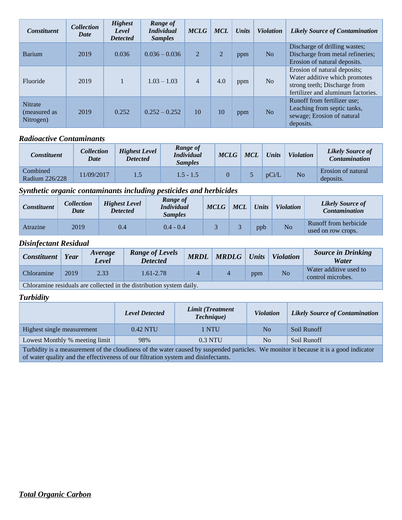| <b>Constituent</b>                          | <b>Collection</b><br><b>Date</b> | <b>Highest</b><br>Level<br><b>Detected</b> | <b>Range of</b><br><i>Individual</i><br><b>Samples</b> | <b>MCLG</b>    | <b>MCL</b>     | <b>Units</b> | <b>Violation</b> | <b>Likely Source of Contamination</b>                                                                                               |
|---------------------------------------------|----------------------------------|--------------------------------------------|--------------------------------------------------------|----------------|----------------|--------------|------------------|-------------------------------------------------------------------------------------------------------------------------------------|
| <b>Barium</b>                               | 2019                             | 0.036                                      | $0.036 - 0.036$                                        | 2              | $\overline{2}$ | ppm          | N <sub>o</sub>   | Discharge of drilling wastes;<br>Discharge from metal refineries;<br>Erosion of natural deposits.                                   |
| Fluoride                                    | 2019                             |                                            | $1.03 - 1.03$                                          | $\overline{4}$ | 4.0            | ppm          | N <sub>o</sub>   | Erosion of natural deposits;<br>Water additive which promotes<br>strong teeth; Discharge from<br>fertilizer and aluminum factories. |
| <b>Nitrate</b><br>(measured as<br>Nitrogen) | 2019                             | 0.252                                      | $0.252 - 0.252$                                        | 10             | 10             | ppm          | N <sub>o</sub>   | Runoff from fertilizer use;<br>Leaching from septic tanks,<br>sewage; Erosion of natural<br>deposits.                               |

# *Radioactive Contaminants*

| Constituent                | Collection<br>Date | <b>Highest Level</b><br><b>Detected</b> | Range of<br><i>Individual</i><br><i>Samples</i> | <b>MCLG</b> | <b>MCL</b> | <b>Units</b> | <b>Violation</b> | <b>Likely Source of</b><br><b>Contamination</b> |
|----------------------------|--------------------|-----------------------------------------|-------------------------------------------------|-------------|------------|--------------|------------------|-------------------------------------------------|
| Combined<br>Radium 226/228 | 1/09/2017          |                                         | $1.5 - 1.5$                                     |             |            | pCi/L        | No               | Erosion of natural<br>deposits.                 |

# *Synthetic organic contaminants including pesticides and herbicides*

| <b>Constituent</b> | Collection<br>Date | <b>Highest Level</b><br><b>Detected</b> | Range of<br><i>Individual</i><br><b>Samples</b> | <b>MCLG</b> | <b>MCL</b> | <b>Units</b> | <b>Violation</b> | Likely Source of<br><b>Contamination</b>    |
|--------------------|--------------------|-----------------------------------------|-------------------------------------------------|-------------|------------|--------------|------------------|---------------------------------------------|
| Atrazine           | 2019               | 0.4                                     | $0.4 - 0.4$                                     |             |            | ppb          | N <sub>o</sub>   | Runoff from herbicide<br>used on row crops. |

## *Disinfectant Residual*

| <b>Constituent</b> | Year | Average<br>Level | <b>Range of Levels</b><br><b>Detected</b> | <b>MRDL</b> | <b>MRDLG</b> | <b>Units</b> | <b>Violation</b> | <b>Source in Drinking</b><br>Water          |
|--------------------|------|------------------|-------------------------------------------|-------------|--------------|--------------|------------------|---------------------------------------------|
| Chloramine         | 2019 | 2.33             | 1.61-2.78                                 |             |              | ppm          | No               | Water additive used to<br>control microbes. |
| $\sim$ $\sim$      |      |                  |                                           |             |              |              |                  |                                             |

Chloramine residuals are collected in the distribution system daily.

# *Turbidity*

|                                | <b>Level Detected</b> | Limit (Treatment<br><i>Technique</i> ) | <b>Violation</b> | <b>Likely Source of Contamination</b> |  |
|--------------------------------|-----------------------|----------------------------------------|------------------|---------------------------------------|--|
| Highest single measurement     | 0.42 NTU              | 1 NTU                                  | No.              | Soil Runoff                           |  |
| Lowest Monthly % meeting limit | 98%                   | $0.3$ NTU                              | No               | Soil Runoff                           |  |

Turbidity is a measurement of the cloudiness of the water caused by suspended particles. We monitor it because it is a good indicator of water quality and the effectiveness of our filtration system and disinfectants.